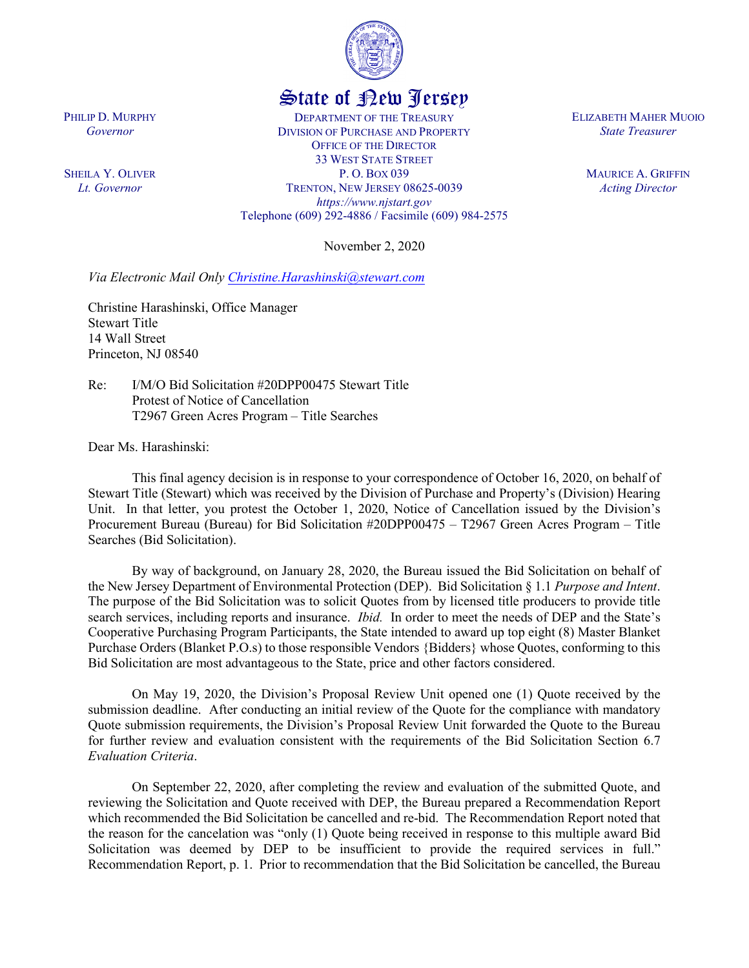

## State of New Jersey

DEPARTMENT OF THE TREASURY DIVISION OF PURCHASE AND PROPERTY OFFICE OF THE DIRECTOR 33 WEST STATE STREET P. O. BOX 039 TRENTON, NEW JERSEY 08625-0039 *https://www.njstart.gov* Telephone (609) 292-4886 / Facsimile (609) 984-2575

November 2, 2020

*Via Electronic Mail Only [Christine.Harashinski@stewart.com](mailto:Christine.Harashinski@stewart.com)*

Christine Harashinski, Office Manager Stewart Title 14 Wall Street Princeton, NJ 08540

Re: I/M/O Bid Solicitation #20DPP00475 Stewart Title Protest of Notice of Cancellation T2967 Green Acres Program – Title Searches

Dear Ms. Harashinski:

This final agency decision is in response to your correspondence of October 16, 2020, on behalf of Stewart Title (Stewart) which was received by the Division of Purchase and Property's (Division) Hearing Unit. In that letter, you protest the October 1, 2020, Notice of Cancellation issued by the Division's Procurement Bureau (Bureau) for Bid Solicitation #20DPP00475 – T2967 Green Acres Program – Title Searches (Bid Solicitation).

By way of background, on January 28, 2020, the Bureau issued the Bid Solicitation on behalf of the New Jersey Department of Environmental Protection (DEP). Bid Solicitation § 1.1 *Purpose and Intent*. The purpose of the Bid Solicitation was to solicit Quotes from by licensed title producers to provide title search services, including reports and insurance. *Ibid.* In order to meet the needs of DEP and the State's Cooperative Purchasing Program Participants, the State intended to award up top eight (8) Master Blanket Purchase Orders (Blanket P.O.s) to those responsible Vendors {Bidders} whose Quotes, conforming to this Bid Solicitation are most advantageous to the State, price and other factors considered.

On May 19, 2020, the Division's Proposal Review Unit opened one (1) Quote received by the submission deadline. After conducting an initial review of the Quote for the compliance with mandatory Quote submission requirements, the Division's Proposal Review Unit forwarded the Quote to the Bureau for further review and evaluation consistent with the requirements of the Bid Solicitation Section 6.7 *Evaluation Criteria*.

On September 22, 2020, after completing the review and evaluation of the submitted Quote, and reviewing the Solicitation and Quote received with DEP, the Bureau prepared a Recommendation Report which recommended the Bid Solicitation be cancelled and re-bid. The Recommendation Report noted that the reason for the cancelation was "only (1) Quote being received in response to this multiple award Bid Solicitation was deemed by DEP to be insufficient to provide the required services in full." Recommendation Report, p. 1. Prior to recommendation that the Bid Solicitation be cancelled, the Bureau

ELIZABETH MAHER MUOIO *State Treasurer*

> MAURICE A. GRIFFIN *Acting Director*

PHILIP D. MURPHY *Governor*

SHEILA Y. OLIVER *Lt. Governor*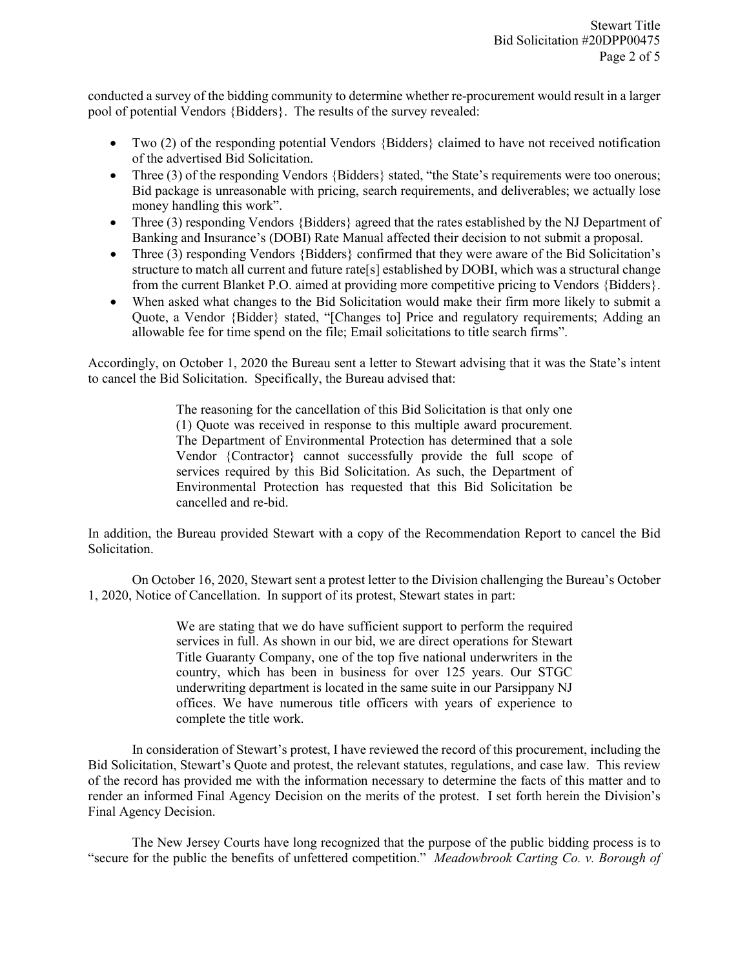conducted a survey of the bidding community to determine whether re-procurement would result in a larger pool of potential Vendors {Bidders}. The results of the survey revealed:

- Two (2) of the responding potential Vendors {Bidders} claimed to have not received notification of the advertised Bid Solicitation.
- Three (3) of the responding Vendors {Bidders} stated, "the State's requirements were too onerous; Bid package is unreasonable with pricing, search requirements, and deliverables; we actually lose money handling this work".
- Three (3) responding Vendors {Bidders} agreed that the rates established by the NJ Department of Banking and Insurance's (DOBI) Rate Manual affected their decision to not submit a proposal.
- Three (3) responding Vendors {Bidders} confirmed that they were aware of the Bid Solicitation's structure to match all current and future rate[s] established by DOBI, which was a structural change from the current Blanket P.O. aimed at providing more competitive pricing to Vendors {Bidders}.
- When asked what changes to the Bid Solicitation would make their firm more likely to submit a Quote, a Vendor {Bidder} stated, "[Changes to] Price and regulatory requirements; Adding an allowable fee for time spend on the file; Email solicitations to title search firms".

Accordingly, on October 1, 2020 the Bureau sent a letter to Stewart advising that it was the State's intent to cancel the Bid Solicitation. Specifically, the Bureau advised that:

> The reasoning for the cancellation of this Bid Solicitation is that only one (1) Quote was received in response to this multiple award procurement. The Department of Environmental Protection has determined that a sole Vendor {Contractor} cannot successfully provide the full scope of services required by this Bid Solicitation. As such, the Department of Environmental Protection has requested that this Bid Solicitation be cancelled and re-bid.

In addition, the Bureau provided Stewart with a copy of the Recommendation Report to cancel the Bid Solicitation.

On October 16, 2020, Stewart sent a protest letter to the Division challenging the Bureau's October 1, 2020, Notice of Cancellation. In support of its protest, Stewart states in part:

> We are stating that we do have sufficient support to perform the required services in full. As shown in our bid, we are direct operations for Stewart Title Guaranty Company, one of the top five national underwriters in the country, which has been in business for over 125 years. Our STGC underwriting department is located in the same suite in our Parsippany NJ offices. We have numerous title officers with years of experience to complete the title work.

In consideration of Stewart's protest, I have reviewed the record of this procurement, including the Bid Solicitation, Stewart's Quote and protest, the relevant statutes, regulations, and case law. This review of the record has provided me with the information necessary to determine the facts of this matter and to render an informed Final Agency Decision on the merits of the protest. I set forth herein the Division's Final Agency Decision.

The New Jersey Courts have long recognized that the purpose of the public bidding process is to "secure for the public the benefits of unfettered competition." *Meadowbrook Carting Co. v. Borough of*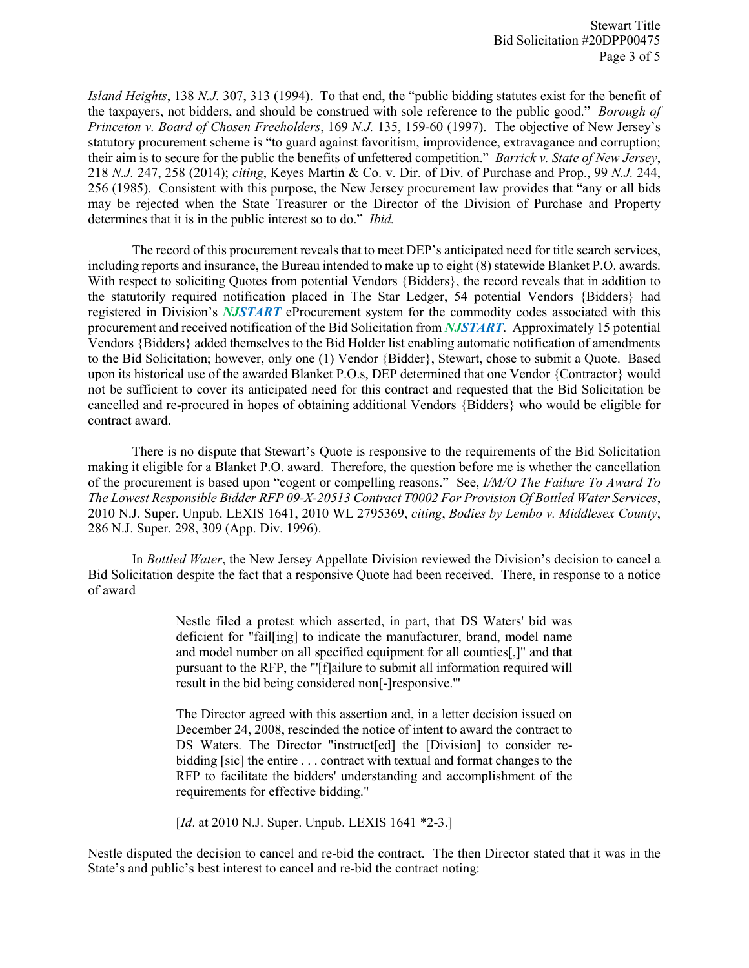*Island Heights*, 138 *N.J.* 307, 313 (1994). To that end, the "public bidding statutes exist for the benefit of the taxpayers, not bidders, and should be construed with sole reference to the public good." *Borough of Princeton v. Board of Chosen Freeholders*, 169 *N.J.* 135, 159-60 (1997). The objective of New Jersey's statutory procurement scheme is "to guard against favoritism, improvidence, extravagance and corruption; their aim is to secure for the public the benefits of unfettered competition." *Barrick v. State of New Jersey*, 218 *N.J.* 247, 258 (2014); *citing*, Keyes Martin & Co. v. Dir. of Div. of Purchase and Prop., 99 *N.J.* 244, 256 (1985). Consistent with this purpose, the New Jersey procurement law provides that "any or all bids may be rejected when the State Treasurer or the Director of the Division of Purchase and Property determines that it is in the public interest so to do." *Ibid.* 

The record of this procurement reveals that to meet DEP's anticipated need for title search services, including reports and insurance, the Bureau intended to make up to eight (8) statewide Blanket P.O. awards. With respect to soliciting Quotes from potential Vendors {Bidders}, the record reveals that in addition to the statutorily required notification placed in The Star Ledger, 54 potential Vendors {Bidders} had registered in Division's *NJSTART* eProcurement system for the commodity codes associated with this procurement and received notification of the Bid Solicitation from *NJSTART*. Approximately 15 potential Vendors {Bidders} added themselves to the Bid Holder list enabling automatic notification of amendments to the Bid Solicitation; however, only one (1) Vendor {Bidder}, Stewart, chose to submit a Quote. Based upon its historical use of the awarded Blanket P.O.s, DEP determined that one Vendor {Contractor} would not be sufficient to cover its anticipated need for this contract and requested that the Bid Solicitation be cancelled and re-procured in hopes of obtaining additional Vendors {Bidders} who would be eligible for contract award.

There is no dispute that Stewart's Quote is responsive to the requirements of the Bid Solicitation making it eligible for a Blanket P.O. award. Therefore, the question before me is whether the cancellation of the procurement is based upon "cogent or compelling reasons." See, *I/M/O The Failure To Award To The Lowest Responsible Bidder RFP 09-X-20513 Contract T0002 For Provision Of Bottled Water Services*, 2010 N.J. Super. Unpub. LEXIS 1641, 2010 WL 2795369, *citing*, *Bodies by Lembo v. Middlesex County*, 286 N.J. Super. 298, 309 (App. Div. 1996).

In *Bottled Water*, the New Jersey Appellate Division reviewed the Division's decision to cancel a Bid Solicitation despite the fact that a responsive Quote had been received. There, in response to a notice of award

> Nestle filed a protest which asserted, in part, that DS Waters' bid was deficient for "fail[ing] to indicate the manufacturer, brand, model name and model number on all specified equipment for all counties[,]" and that pursuant to the RFP, the "'[f]ailure to submit all information required will result in the bid being considered non[-]responsive.'"

> The Director agreed with this assertion and, in a letter decision issued on December 24, 2008, rescinded the notice of intent to award the contract to DS Waters. The Director "instruct[ed] the [Division] to consider rebidding [sic] the entire . . . contract with textual and format changes to the RFP to facilitate the bidders' understanding and accomplishment of the requirements for effective bidding."

[*Id.* at 2010 N.J. Super. Unpub. LEXIS 1641 \*2-3.]

Nestle disputed the decision to cancel and re-bid the contract. The then Director stated that it was in the State's and public's best interest to cancel and re-bid the contract noting: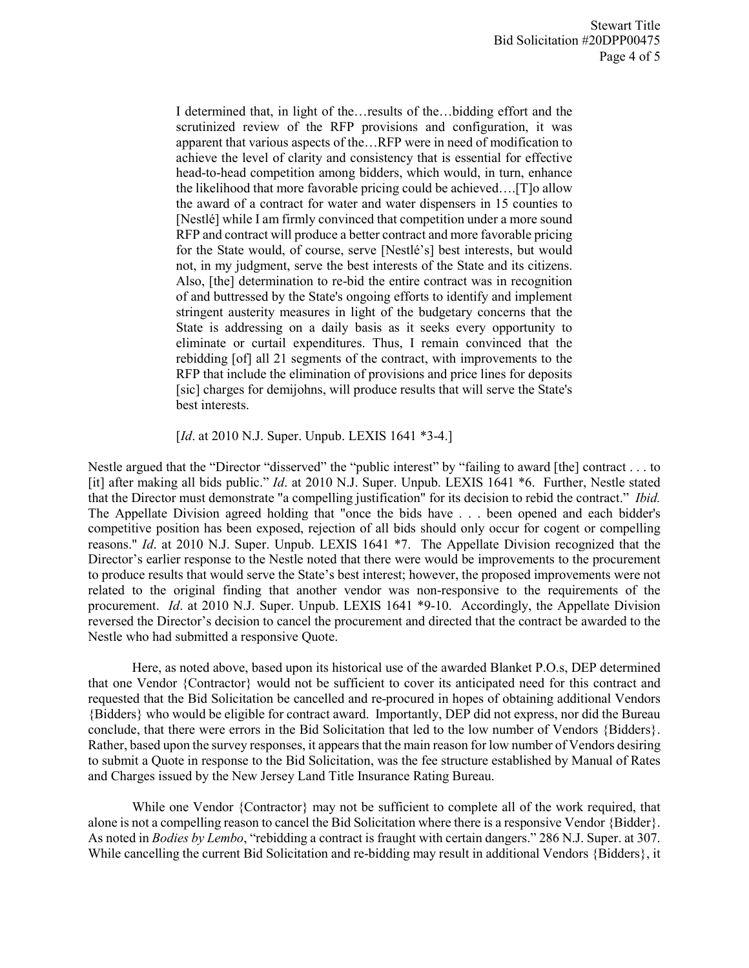I determined that, in light of the…results of the…bidding effort and the scrutinized review of the RFP provisions and configuration, it was apparent that various aspects of the…RFP were in need of modification to achieve the level of clarity and consistency that is essential for effective head-to-head competition among bidders, which would, in turn, enhance the likelihood that more favorable pricing could be achieved….[T]o allow the award of a contract for water and water dispensers in 15 counties to [Nestlé] while I am firmly convinced that competition under a more sound RFP and contract will produce a better contract and more favorable pricing for the State would, of course, serve [Nestlé's] best interests, but would not, in my judgment, serve the best interests of the State and its citizens. Also, [the] determination to re-bid the entire contract was in recognition of and buttressed by the State's ongoing efforts to identify and implement stringent austerity measures in light of the budgetary concerns that the State is addressing on a daily basis as it seeks every opportunity to eliminate or curtail expenditures. Thus, I remain convinced that the rebidding [of] all 21 segments of the contract, with improvements to the RFP that include the elimination of provisions and price lines for deposits [sic] charges for demijohns, will produce results that will serve the State's best interests.

[*Id.* at 2010 N.J. Super. Unpub. LEXIS 1641 \*3-4.]

Nestle argued that the "Director "disserved" the "public interest" by "failing to award [the] contract . . . to [it] after making all bids public." *Id*. at 2010 N.J. Super. Unpub. LEXIS 1641 \*6. Further, Nestle stated that the Director must demonstrate "a compelling justification" for its decision to rebid the contract." *Ibid.* The Appellate Division agreed holding that "once the bids have . . . been opened and each bidder's competitive position has been exposed, rejection of all bids should only occur for cogent or compelling reasons." *Id*. at 2010 N.J. Super. Unpub. LEXIS 1641 \*7. The Appellate Division recognized that the Director's earlier response to the Nestle noted that there were would be improvements to the procurement to produce results that would serve the State's best interest; however, the proposed improvements were not related to the original finding that another vendor was non-responsive to the requirements of the procurement. *Id*. at 2010 N.J. Super. Unpub. LEXIS 1641 \*9-10. Accordingly, the Appellate Division reversed the Director's decision to cancel the procurement and directed that the contract be awarded to the Nestle who had submitted a responsive Quote.

Here, as noted above, based upon its historical use of the awarded Blanket P.O.s, DEP determined that one Vendor {Contractor} would not be sufficient to cover its anticipated need for this contract and requested that the Bid Solicitation be cancelled and re-procured in hopes of obtaining additional Vendors {Bidders} who would be eligible for contract award. Importantly, DEP did not express, nor did the Bureau conclude, that there were errors in the Bid Solicitation that led to the low number of Vendors {Bidders}. Rather, based upon the survey responses, it appears that the main reason for low number of Vendors desiring to submit a Quote in response to the Bid Solicitation, was the fee structure established by Manual of Rates and Charges issued by the New Jersey Land Title Insurance Rating Bureau.

While one Vendor {Contractor} may not be sufficient to complete all of the work required, that alone is not a compelling reason to cancel the Bid Solicitation where there is a responsive Vendor {Bidder}. As noted in *Bodies by Lembo*, "rebidding a contract is fraught with certain dangers." 286 N.J. Super. at 307. While cancelling the current Bid Solicitation and re-bidding may result in additional Vendors {Bidders}, it